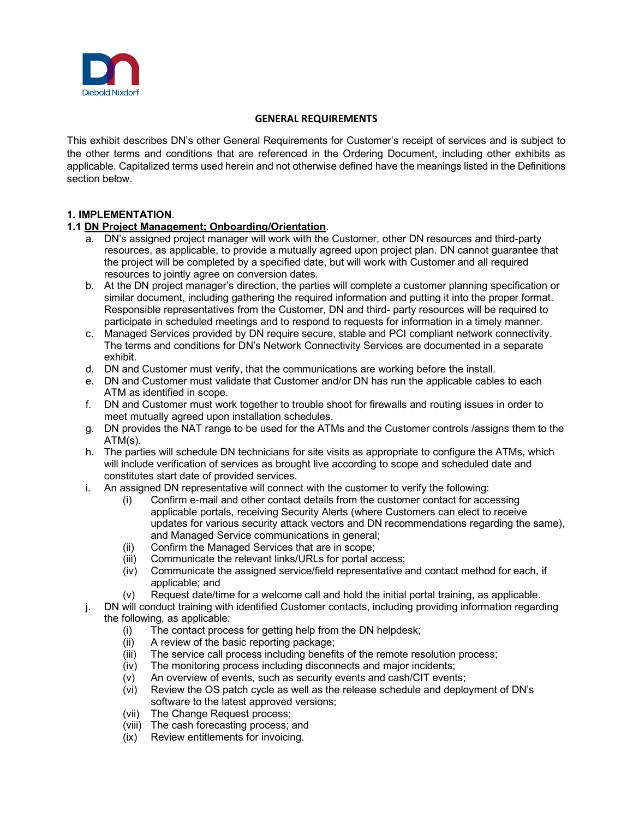

## **GENERAL REQUIREMENTS**

This exhibit describes DN's other General Requirements for Customer's receipt of services and is subject to the other terms and conditions that are referenced in the Ordering Document, including other exhibits as applicable. Capitalized terms used herein and not otherwise defined have the meanings listed in the Definitions section below.

## **1. IMPLEMENTATION**.

## **1.1 DN Project Management; Onboarding/Orientation**.

- a. DN's assigned project manager will work with the Customer, other DN resources and third-party resources, as applicable, to provide a mutually agreed upon project plan. DN cannot guarantee that the project will be completed by a specified date, but will work with Customer and all required resources to jointly agree on conversion dates.
- b. At the DN project manager's direction, the parties will complete a customer planning specification or similar document, including gathering the required information and putting it into the proper format. Responsible representatives from the Customer, DN and third- party resources will be required to participate in scheduled meetings and to respond to requests for information in a timely manner.
- c. Managed Services provided by DN require secure, stable and PCI compliant network connectivity. The terms and conditions for DN's Network Connectivity Services are documented in a separate exhibit.
- d. DN and Customer must verify, that the communications are working before the install.
- e. DN and Customer must validate that Customer and/or DN has run the applicable cables to each ATM as identified in scope.
- f. DN and Customer must work together to trouble shoot for firewalls and routing issues in order to meet mutually agreed upon installation schedules.
- g. DN provides the NAT range to be used for the ATMs and the Customer controls /assigns them to the ATM(s).
- h. The parties will schedule DN technicians for site visits as appropriate to configure the ATMs, which will include verification of services as brought live according to scope and scheduled date and constitutes start date of provided services.
- i. An assigned DN representative will connect with the customer to verify the following:
	- (i) Confirm e-mail and other contact details from the customer contact for accessing applicable portals, receiving Security Alerts (where Customers can elect to receive updates for various security attack vectors and DN recommendations regarding the same), and Managed Service communications in general;
	- (ii) Confirm the Managed Services that are in scope;
	- (iii) Communicate the relevant links/URLs for portal access;
	- (iv) Communicate the assigned service/field representative and contact method for each, if applicable; and
	- (v) Request date/time for a welcome call and hold the initial portal training, as applicable.
- j. DN will conduct training with identified Customer contacts, including providing information regarding the following, as applicable:
	- (i) The contact process for getting help from the DN helpdesk;
	- (ii) A review of the basic reporting package;
	- (iii) The service call process including benefits of the remote resolution process;
	- (iv) The monitoring process including disconnects and major incidents;
	- (v) An overview of events, such as security events and cash/CIT events;
	- (vi) Review the OS patch cycle as well as the release schedule and deployment of DN's software to the latest approved versions;
	- (vii) The Change Request process;
	- (viii) The cash forecasting process; and
	- (ix) Review entitlements for invoicing.